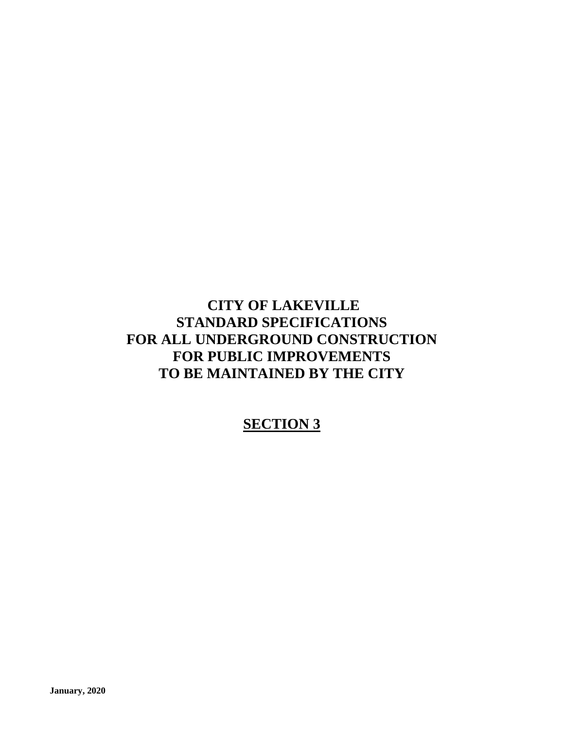# **CITY OF LAKEVILLE STANDARD SPECIFICATIONS FOR ALL UNDERGROUND CONSTRUCTION FOR PUBLIC IMPROVEMENTS TO BE MAINTAINED BY THE CITY**

# **SECTION 3**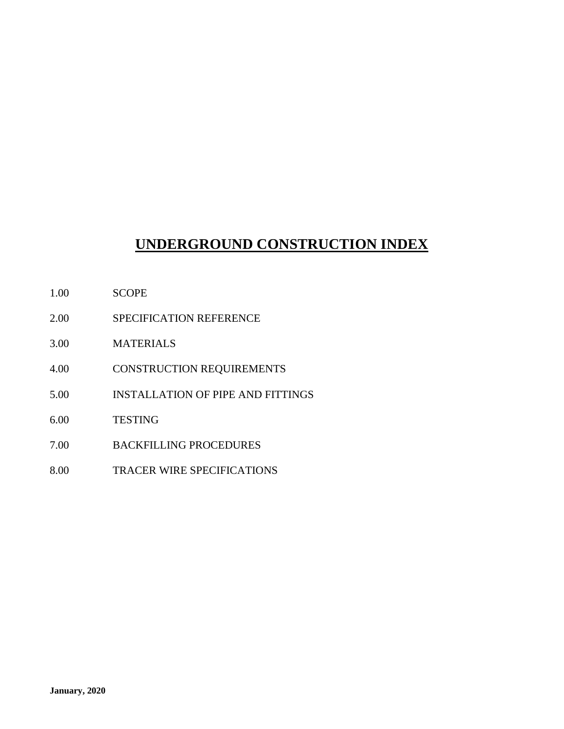# **UNDERGROUND CONSTRUCTION INDEX**

- 1.00 SCOPE
- 2.00 SPECIFICATION REFERENCE
- 3.00 MATERIALS
- 4.00 CONSTRUCTION REQUIREMENTS
- 5.00 INSTALLATION OF PIPE AND FITTINGS
- 6.00 TESTING
- 7.00 BACKFILLING PROCEDURES
- 8.00 TRACER WIRE SPECIFICATIONS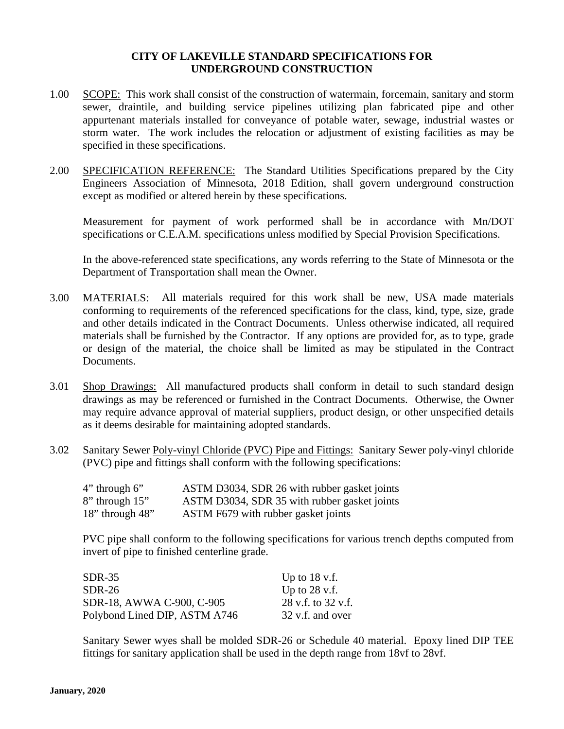#### **CITY OF LAKEVILLE STANDARD SPECIFICATIONS FOR UNDERGROUND CONSTRUCTION**

- 1.00 SCOPE: This work shall consist of the construction of watermain, forcemain, sanitary and storm sewer, draintile, and building service pipelines utilizing plan fabricated pipe and other appurtenant materials installed for conveyance of potable water, sewage, industrial wastes or storm water. The work includes the relocation or adjustment of existing facilities as may be specified in these specifications.
- 2.00 SPECIFICATION REFERENCE: The Standard Utilities Specifications prepared by the City Engineers Association of Minnesota, 2018 Edition, shall govern underground construction except as modified or altered herein by these specifications.

Measurement for payment of work performed shall be in accordance with Mn/DOT specifications or C.E.A.M. specifications unless modified by Special Provision Specifications.

In the above-referenced state specifications, any words referring to the State of Minnesota or the Department of Transportation shall mean the Owner.

- 3.00 MATERIALS: All materials required for this work shall be new, USA made materials conforming to requirements of the referenced specifications for the class, kind, type, size, grade and other details indicated in the Contract Documents. Unless otherwise indicated, all required materials shall be furnished by the Contractor. If any options are provided for, as to type, grade or design of the material, the choice shall be limited as may be stipulated in the Contract Documents.
- 3.01 Shop Drawings: All manufactured products shall conform in detail to such standard design drawings as may be referenced or furnished in the Contract Documents. Otherwise, the Owner may require advance approval of material suppliers, product design, or other unspecified details as it deems desirable for maintaining adopted standards.
- 3.02 Sanitary Sewer Poly-vinyl Chloride (PVC) Pipe and Fittings: Sanitary Sewer poly-vinyl chloride (PVC) pipe and fittings shall conform with the following specifications:

| $4$ " through $6$ " | ASTM D3034, SDR 26 with rubber gasket joints |
|---------------------|----------------------------------------------|
| 8" through 15"      | ASTM D3034, SDR 35 with rubber gasket joints |
| 18" through $48"$   | ASTM F679 with rubber gasket joints          |

PVC pipe shall conform to the following specifications for various trench depths computed from invert of pipe to finished centerline grade.

| SDR-35                        | Up to $18 \text{ v.f.}$ |
|-------------------------------|-------------------------|
| SDR-26                        | Up to $28 \text{ v.f.}$ |
| SDR-18, AWWA C-900, C-905     | 28 v.f. to 32 v.f.      |
| Polybond Lined DIP, ASTM A746 | 32 v.f. and over        |

Sanitary Sewer wyes shall be molded SDR-26 or Schedule 40 material. Epoxy lined DIP TEE fittings for sanitary application shall be used in the depth range from 18vf to 28vf.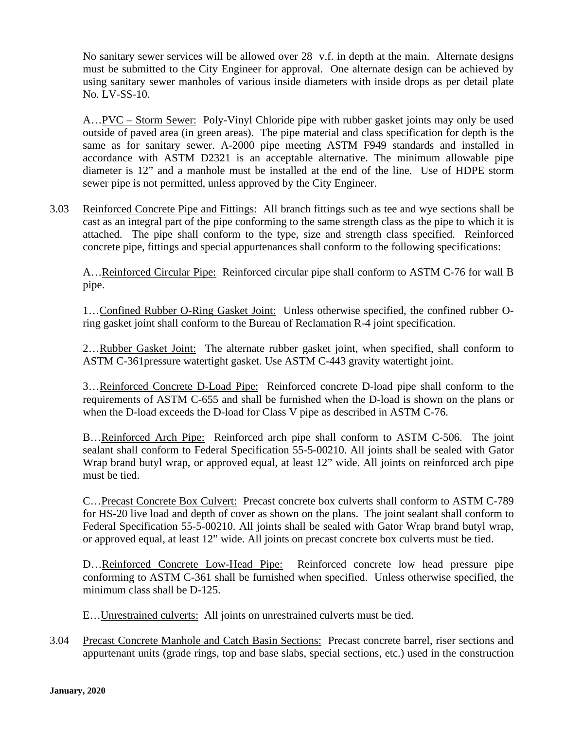No sanitary sewer services will be allowed over 28 v.f. in depth at the main. Alternate designs must be submitted to the City Engineer for approval. One alternate design can be achieved by using sanitary sewer manholes of various inside diameters with inside drops as per detail plate No. LV-SS-10.

A…PVC – Storm Sewer: Poly-Vinyl Chloride pipe with rubber gasket joints may only be used outside of paved area (in green areas). The pipe material and class specification for depth is the same as for sanitary sewer. A-2000 pipe meeting ASTM F949 standards and installed in accordance with ASTM D2321 is an acceptable alternative. The minimum allowable pipe diameter is 12" and a manhole must be installed at the end of the line. Use of HDPE storm sewer pipe is not permitted, unless approved by the City Engineer.

3.03 Reinforced Concrete Pipe and Fittings: All branch fittings such as tee and wye sections shall be cast as an integral part of the pipe conforming to the same strength class as the pipe to which it is attached. The pipe shall conform to the type, size and strength class specified. Reinforced concrete pipe, fittings and special appurtenances shall conform to the following specifications:

A…Reinforced Circular Pipe: Reinforced circular pipe shall conform to ASTM C-76 for wall B pipe.

1…Confined Rubber O-Ring Gasket Joint: Unless otherwise specified, the confined rubber Oring gasket joint shall conform to the Bureau of Reclamation R-4 joint specification.

2...Rubber Gasket Joint: The alternate rubber gasket joint, when specified, shall conform to ASTM C-361pressure watertight gasket. Use ASTM C-443 gravity watertight joint.

3…Reinforced Concrete D-Load Pipe: Reinforced concrete D-load pipe shall conform to the requirements of ASTM C-655 and shall be furnished when the D-load is shown on the plans or when the D-load exceeds the D-load for Class V pipe as described in ASTM C-76.

B…Reinforced Arch Pipe: Reinforced arch pipe shall conform to ASTM C-506. The joint sealant shall conform to Federal Specification 55-5-00210. All joints shall be sealed with Gator Wrap brand butyl wrap, or approved equal, at least 12" wide. All joints on reinforced arch pipe must be tied.

C…Precast Concrete Box Culvert: Precast concrete box culverts shall conform to ASTM C-789 for HS-20 live load and depth of cover as shown on the plans. The joint sealant shall conform to Federal Specification 55-5-00210. All joints shall be sealed with Gator Wrap brand butyl wrap, or approved equal, at least 12" wide. All joints on precast concrete box culverts must be tied.

D…Reinforced Concrete Low-Head Pipe: Reinforced concrete low head pressure pipe conforming to ASTM C-361 shall be furnished when specified. Unless otherwise specified, the minimum class shall be D-125.

E…Unrestrained culverts: All joints on unrestrained culverts must be tied.

3.04 Precast Concrete Manhole and Catch Basin Sections: Precast concrete barrel, riser sections and appurtenant units (grade rings, top and base slabs, special sections, etc.) used in the construction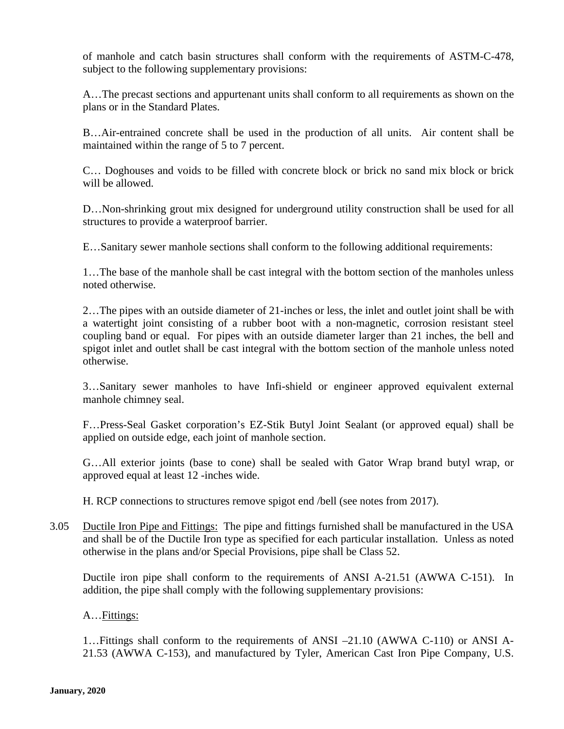of manhole and catch basin structures shall conform with the requirements of ASTM-C-478, subject to the following supplementary provisions:

A…The precast sections and appurtenant units shall conform to all requirements as shown on the plans or in the Standard Plates.

B…Air-entrained concrete shall be used in the production of all units. Air content shall be maintained within the range of 5 to 7 percent.

C… Doghouses and voids to be filled with concrete block or brick no sand mix block or brick will be allowed.

D…Non-shrinking grout mix designed for underground utility construction shall be used for all structures to provide a waterproof barrier.

E…Sanitary sewer manhole sections shall conform to the following additional requirements:

1…The base of the manhole shall be cast integral with the bottom section of the manholes unless noted otherwise.

2…The pipes with an outside diameter of 21-inches or less, the inlet and outlet joint shall be with a watertight joint consisting of a rubber boot with a non-magnetic, corrosion resistant steel coupling band or equal. For pipes with an outside diameter larger than 21 inches, the bell and spigot inlet and outlet shall be cast integral with the bottom section of the manhole unless noted otherwise.

3…Sanitary sewer manholes to have Infi-shield or engineer approved equivalent external manhole chimney seal.

F…Press-Seal Gasket corporation's EZ-Stik Butyl Joint Sealant (or approved equal) shall be applied on outside edge, each joint of manhole section.

G…All exterior joints (base to cone) shall be sealed with Gator Wrap brand butyl wrap, or approved equal at least 12 -inches wide.

H. RCP connections to structures remove spigot end /bell (see notes from 2017).

3.05 Ductile Iron Pipe and Fittings: The pipe and fittings furnished shall be manufactured in the USA and shall be of the Ductile Iron type as specified for each particular installation. Unless as noted otherwise in the plans and/or Special Provisions, pipe shall be Class 52.

Ductile iron pipe shall conform to the requirements of ANSI A-21.51 (AWWA C-151). In addition, the pipe shall comply with the following supplementary provisions:

#### A…Fittings:

1…Fittings shall conform to the requirements of ANSI –21.10 (AWWA C-110) or ANSI A-21.53 (AWWA C-153), and manufactured by Tyler, American Cast Iron Pipe Company, U.S.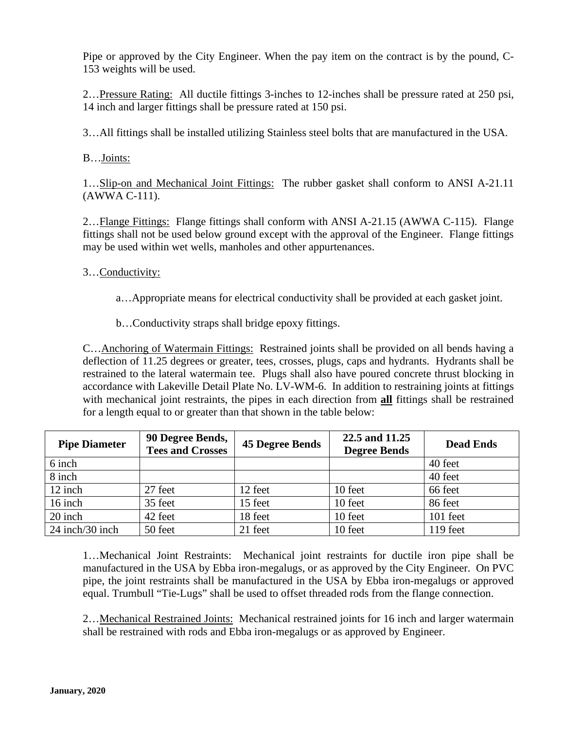Pipe or approved by the City Engineer. When the pay item on the contract is by the pound, C-153 weights will be used.

2…Pressure Rating: All ductile fittings 3-inches to 12-inches shall be pressure rated at 250 psi, 14 inch and larger fittings shall be pressure rated at 150 psi.

3…All fittings shall be installed utilizing Stainless steel bolts that are manufactured in the USA.

B…Joints:

1…Slip-on and Mechanical Joint Fittings: The rubber gasket shall conform to ANSI A-21.11 (AWWA C-111).

2...Flange Fittings: Flange fittings shall conform with ANSI A-21.15 (AWWA C-115). Flange fittings shall not be used below ground except with the approval of the Engineer. Flange fittings may be used within wet wells, manholes and other appurtenances.

#### 3…Conductivity:

- a…Appropriate means for electrical conductivity shall be provided at each gasket joint.
- b…Conductivity straps shall bridge epoxy fittings.

C…Anchoring of Watermain Fittings: Restrained joints shall be provided on all bends having a deflection of 11.25 degrees or greater, tees, crosses, plugs, caps and hydrants. Hydrants shall be restrained to the lateral watermain tee. Plugs shall also have poured concrete thrust blocking in accordance with Lakeville Detail Plate No. LV-WM-6. In addition to restraining joints at fittings with mechanical joint restraints, the pipes in each direction from **all** fittings shall be restrained for a length equal to or greater than that shown in the table below:

| <b>Pipe Diameter</b> | 90 Degree Bends,<br><b>Tees and Crosses</b> | <b>45 Degree Bends</b> | 22.5 and 11.25<br><b>Degree Bends</b> | <b>Dead Ends</b> |
|----------------------|---------------------------------------------|------------------------|---------------------------------------|------------------|
| 6 inch               |                                             |                        |                                       | 40 feet          |
| 8 inch               |                                             |                        |                                       | 40 feet          |
| 12 inch              | 27 feet                                     | 12 feet                | 10 feet                               | 66 feet          |
| 16 inch              | 35 feet                                     | 15 feet                | 10 feet                               | 86 feet          |
| 20 inch              | 42 feet                                     | 18 feet                | 10 feet                               | 101 feet         |
| 24 inch/30 inch      | 50 feet                                     | 21 feet                | 10 feet                               | 119 feet         |

1…Mechanical Joint Restraints: Mechanical joint restraints for ductile iron pipe shall be manufactured in the USA by Ebba iron-megalugs, or as approved by the City Engineer. On PVC pipe, the joint restraints shall be manufactured in the USA by Ebba iron-megalugs or approved equal. Trumbull "Tie-Lugs" shall be used to offset threaded rods from the flange connection.

2…Mechanical Restrained Joints: Mechanical restrained joints for 16 inch and larger watermain shall be restrained with rods and Ebba iron-megalugs or as approved by Engineer.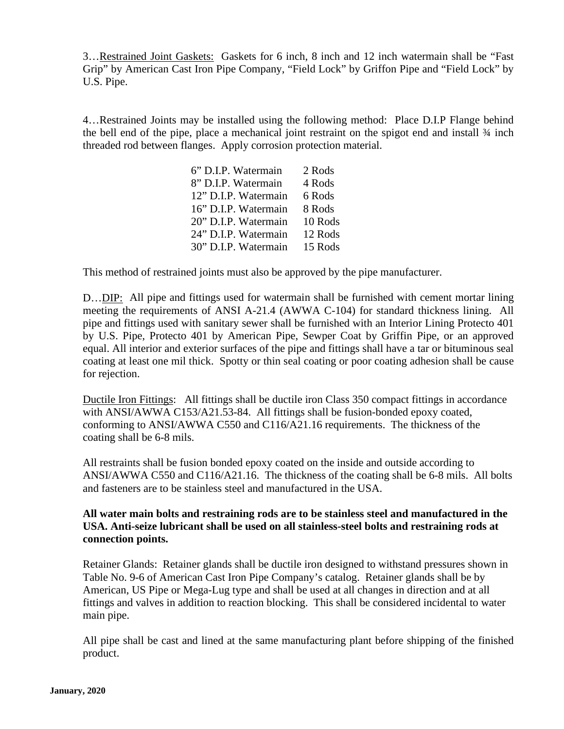3…Restrained Joint Gaskets: Gaskets for 6 inch, 8 inch and 12 inch watermain shall be "Fast Grip" by American Cast Iron Pipe Company, "Field Lock" by Griffon Pipe and "Field Lock" by U.S. Pipe.

4…Restrained Joints may be installed using the following method: Place D.I.P Flange behind the bell end of the pipe, place a mechanical joint restraint on the spigot end and install ¾ inch threaded rod between flanges. Apply corrosion protection material.

| 6" D.I.P. Watermain  | 2 Rods  |
|----------------------|---------|
| 8" D.I.P. Watermain  | 4 Rods  |
| 12" D.I.P. Watermain | 6 Rods  |
| 16" D.I.P. Watermain | 8 Rods  |
| 20" D.I.P. Watermain | 10 Rods |
| 24" D.I.P. Watermain | 12 Rods |
| 30" D.I.P. Watermain | 15 Rods |

This method of restrained joints must also be approved by the pipe manufacturer.

D…DIP: All pipe and fittings used for watermain shall be furnished with cement mortar lining meeting the requirements of ANSI A-21.4 (AWWA C-104) for standard thickness lining. All pipe and fittings used with sanitary sewer shall be furnished with an Interior Lining Protecto 401 by U.S. Pipe, Protecto 401 by American Pipe, Sewper Coat by Griffin Pipe, or an approved equal. All interior and exterior surfaces of the pipe and fittings shall have a tar or bituminous seal coating at least one mil thick. Spotty or thin seal coating or poor coating adhesion shall be cause for rejection.

Ductile Iron Fittings: All fittings shall be ductile iron Class 350 compact fittings in accordance with ANSI/AWWA C153/A21.53-84. All fittings shall be fusion-bonded epoxy coated, conforming to ANSI/AWWA C550 and C116/A21.16 requirements. The thickness of the coating shall be 6-8 mils.

All restraints shall be fusion bonded epoxy coated on the inside and outside according to ANSI/AWWA C550 and C116/A21.16. The thickness of the coating shall be 6-8 mils. All bolts and fasteners are to be stainless steel and manufactured in the USA.

#### **All water main bolts and restraining rods are to be stainless steel and manufactured in the USA. Anti-seize lubricant shall be used on all stainless-steel bolts and restraining rods at connection points.**

Retainer Glands: Retainer glands shall be ductile iron designed to withstand pressures shown in Table No. 9-6 of American Cast Iron Pipe Company's catalog. Retainer glands shall be by American, US Pipe or Mega-Lug type and shall be used at all changes in direction and at all fittings and valves in addition to reaction blocking. This shall be considered incidental to water main pipe.

All pipe shall be cast and lined at the same manufacturing plant before shipping of the finished product.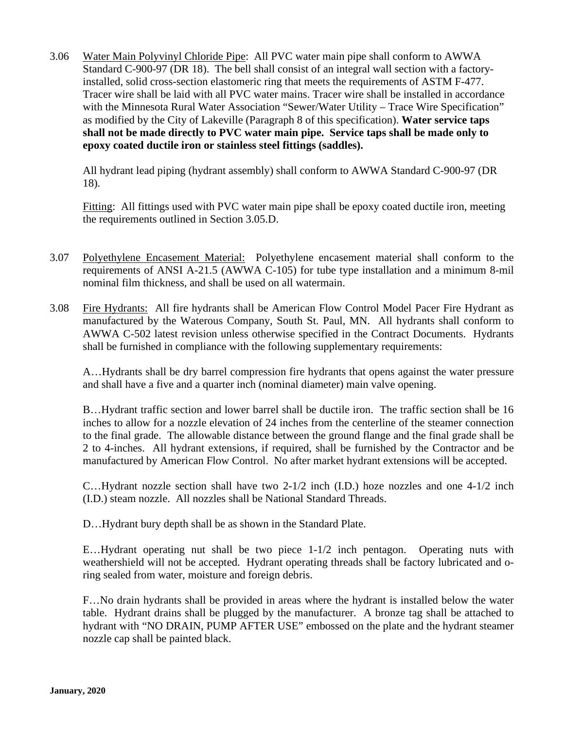3.06 Water Main Polyvinyl Chloride Pipe: All PVC water main pipe shall conform to AWWA Standard C-900-97 (DR 18). The bell shall consist of an integral wall section with a factoryinstalled, solid cross-section elastomeric ring that meets the requirements of ASTM F-477. Tracer wire shall be laid with all PVC water mains. Tracer wire shall be installed in accordance with the Minnesota Rural Water Association "Sewer/Water Utility – Trace Wire Specification" as modified by the City of Lakeville (Paragraph 8 of this specification). **Water service taps shall not be made directly to PVC water main pipe. Service taps shall be made only to epoxy coated ductile iron or stainless steel fittings (saddles).**

All hydrant lead piping (hydrant assembly) shall conform to AWWA Standard C-900-97 (DR 18).

Fitting: All fittings used with PVC water main pipe shall be epoxy coated ductile iron, meeting the requirements outlined in Section 3.05.D.

- 3.07 Polyethylene Encasement Material: Polyethylene encasement material shall conform to the requirements of ANSI A-21.5 (AWWA C-105) for tube type installation and a minimum 8-mil nominal film thickness, and shall be used on all watermain.
- 3.08 Fire Hydrants: All fire hydrants shall be American Flow Control Model Pacer Fire Hydrant as manufactured by the Waterous Company, South St. Paul, MN. All hydrants shall conform to AWWA C-502 latest revision unless otherwise specified in the Contract Documents. Hydrants shall be furnished in compliance with the following supplementary requirements:

A…Hydrants shall be dry barrel compression fire hydrants that opens against the water pressure and shall have a five and a quarter inch (nominal diameter) main valve opening.

B…Hydrant traffic section and lower barrel shall be ductile iron. The traffic section shall be 16 inches to allow for a nozzle elevation of 24 inches from the centerline of the steamer connection to the final grade. The allowable distance between the ground flange and the final grade shall be 2 to 4-inches. All hydrant extensions, if required, shall be furnished by the Contractor and be manufactured by American Flow Control. No after market hydrant extensions will be accepted.

C…Hydrant nozzle section shall have two 2-1/2 inch (I.D.) hoze nozzles and one 4-1/2 inch (I.D.) steam nozzle. All nozzles shall be National Standard Threads.

D…Hydrant bury depth shall be as shown in the Standard Plate.

E…Hydrant operating nut shall be two piece 1-1/2 inch pentagon. Operating nuts with weathershield will not be accepted. Hydrant operating threads shall be factory lubricated and oring sealed from water, moisture and foreign debris.

F…No drain hydrants shall be provided in areas where the hydrant is installed below the water table. Hydrant drains shall be plugged by the manufacturer. A bronze tag shall be attached to hydrant with "NO DRAIN, PUMP AFTER USE" embossed on the plate and the hydrant steamer nozzle cap shall be painted black.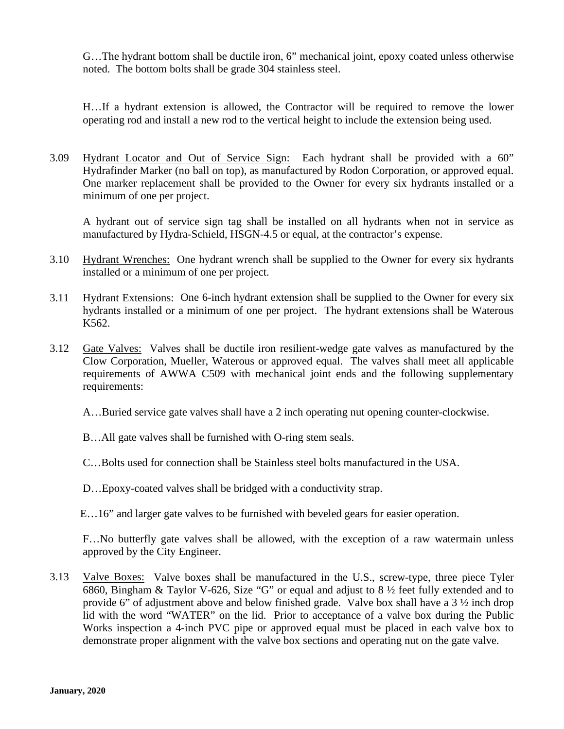G…The hydrant bottom shall be ductile iron, 6" mechanical joint, epoxy coated unless otherwise noted. The bottom bolts shall be grade 304 stainless steel.

H…If a hydrant extension is allowed, the Contractor will be required to remove the lower operating rod and install a new rod to the vertical height to include the extension being used.

3.09 Hydrant Locator and Out of Service Sign: Each hydrant shall be provided with a 60" Hydrafinder Marker (no ball on top), as manufactured by Rodon Corporation, or approved equal. One marker replacement shall be provided to the Owner for every six hydrants installed or a minimum of one per project.

A hydrant out of service sign tag shall be installed on all hydrants when not in service as manufactured by Hydra-Schield, HSGN-4.5 or equal, at the contractor's expense.

- 3.10 Hydrant Wrenches: One hydrant wrench shall be supplied to the Owner for every six hydrants installed or a minimum of one per project.
- 3.11 Hydrant Extensions: One 6-inch hydrant extension shall be supplied to the Owner for every six hydrants installed or a minimum of one per project. The hydrant extensions shall be Waterous K562.
- 3.12 Gate Valves: Valves shall be ductile iron resilient-wedge gate valves as manufactured by the Clow Corporation, Mueller, Waterous or approved equal. The valves shall meet all applicable requirements of AWWA C509 with mechanical joint ends and the following supplementary requirements:
	- A…Buried service gate valves shall have a 2 inch operating nut opening counter-clockwise.
	- B…All gate valves shall be furnished with O-ring stem seals.
	- C…Bolts used for connection shall be Stainless steel bolts manufactured in the USA.
	- D…Epoxy-coated valves shall be bridged with a conductivity strap.
	- E…16" and larger gate valves to be furnished with beveled gears for easier operation.

F…No butterfly gate valves shall be allowed, with the exception of a raw watermain unless approved by the City Engineer.

3.13 Valve Boxes: Valve boxes shall be manufactured in the U.S., screw-type, three piece Tyler 6860, Bingham & Taylor V-626, Size "G" or equal and adjust to 8 ½ feet fully extended and to provide 6" of adjustment above and below finished grade. Valve box shall have a 3 ½ inch drop lid with the word "WATER" on the lid. Prior to acceptance of a valve box during the Public Works inspection a 4-inch PVC pipe or approved equal must be placed in each valve box to demonstrate proper alignment with the valve box sections and operating nut on the gate valve.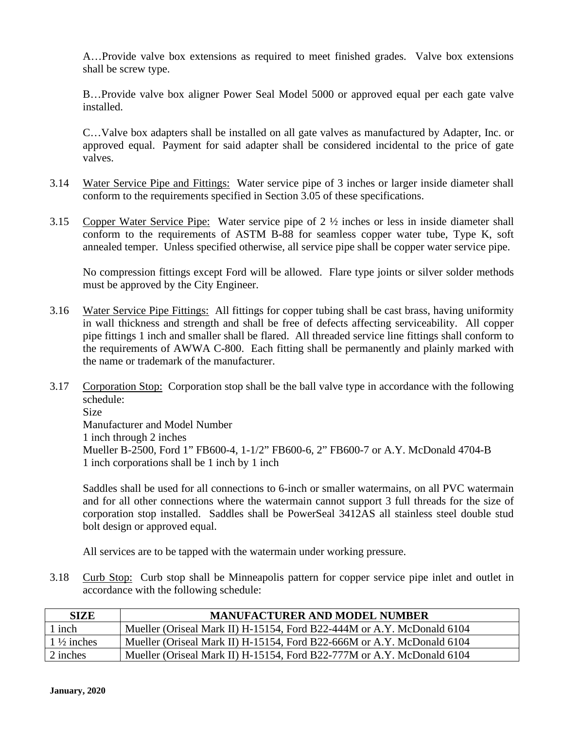A…Provide valve box extensions as required to meet finished grades. Valve box extensions shall be screw type.

B…Provide valve box aligner Power Seal Model 5000 or approved equal per each gate valve installed.

C…Valve box adapters shall be installed on all gate valves as manufactured by Adapter, Inc. or approved equal. Payment for said adapter shall be considered incidental to the price of gate valves.

- 3.14 Water Service Pipe and Fittings: Water service pipe of 3 inches or larger inside diameter shall conform to the requirements specified in Section 3.05 of these specifications.
- 3.15 Copper Water Service Pipe: Water service pipe of 2 ½ inches or less in inside diameter shall conform to the requirements of ASTM B-88 for seamless copper water tube, Type K, soft annealed temper. Unless specified otherwise, all service pipe shall be copper water service pipe.

No compression fittings except Ford will be allowed. Flare type joints or silver solder methods must be approved by the City Engineer.

- 3.16 Water Service Pipe Fittings: All fittings for copper tubing shall be cast brass, having uniformity in wall thickness and strength and shall be free of defects affecting serviceability. All copper pipe fittings 1 inch and smaller shall be flared. All threaded service line fittings shall conform to the requirements of AWWA C-800. Each fitting shall be permanently and plainly marked with the name or trademark of the manufacturer.
- 3.17 Corporation Stop: Corporation stop shall be the ball valve type in accordance with the following schedule: Size Manufacturer and Model Number 1 inch through 2 inches Mueller B-2500, Ford 1" FB600-4, 1-1/2" FB600-6, 2" FB600-7 or A.Y. McDonald 4704-B 1 inch corporations shall be 1 inch by 1 inch

Saddles shall be used for all connections to 6-inch or smaller watermains, on all PVC watermain and for all other connections where the watermain cannot support 3 full threads for the size of corporation stop installed. Saddles shall be PowerSeal 3412AS all stainless steel double stud bolt design or approved equal.

All services are to be tapped with the watermain under working pressure.

3.18 Curb Stop: Curb stop shall be Minneapolis pattern for copper service pipe inlet and outlet in accordance with the following schedule:

| <b>SIZE</b>           | <b>MANUFACTURER AND MODEL NUMBER</b>                                   |
|-----------------------|------------------------------------------------------------------------|
| inch                  | Mueller (Oriseal Mark II) H-15154, Ford B22-444M or A.Y. McDonald 6104 |
| $1\frac{1}{2}$ inches | Mueller (Oriseal Mark II) H-15154, Ford B22-666M or A.Y. McDonald 6104 |
| 2 inches              | Mueller (Oriseal Mark II) H-15154, Ford B22-777M or A.Y. McDonald 6104 |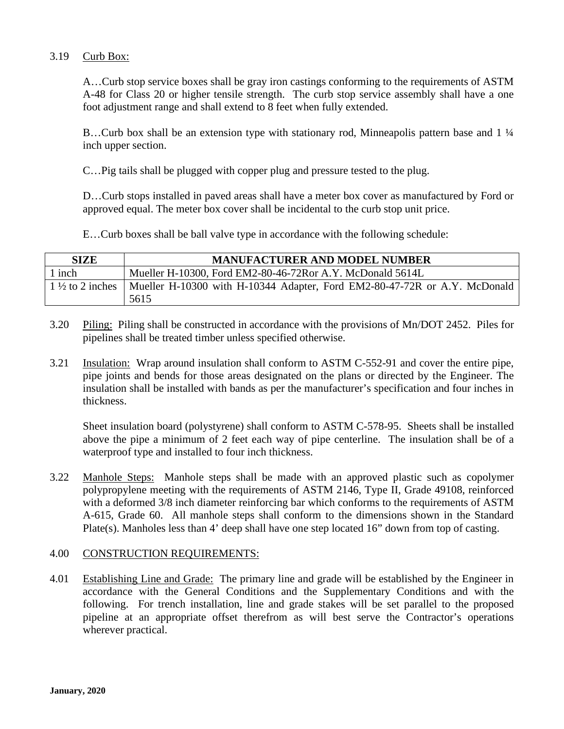#### 3.19 Curb Box:

A…Curb stop service boxes shall be gray iron castings conforming to the requirements of ASTM A-48 for Class 20 or higher tensile strength. The curb stop service assembly shall have a one foot adjustment range and shall extend to 8 feet when fully extended.

B...Curb box shall be an extension type with stationary rod, Minneapolis pattern base and 1  $\frac{1}{4}$ inch upper section.

C…Pig tails shall be plugged with copper plug and pressure tested to the plug.

D…Curb stops installed in paved areas shall have a meter box cover as manufactured by Ford or approved equal. The meter box cover shall be incidental to the curb stop unit price.

E…Curb boxes shall be ball valve type in accordance with the following schedule:

| <b>SIZE</b> | <b>MANUFACTURER AND MODEL NUMBER</b>                                                            |
|-------------|-------------------------------------------------------------------------------------------------|
| 1 inch      | Mueller H-10300, Ford EM2-80-46-72Ror A.Y. McDonald 5614L                                       |
|             | 1 1 1/2 to 2 inches   Mueller H-10300 with H-10344 Adapter, Ford EM2-80-47-72R or A.Y. McDonald |
|             | 5615                                                                                            |

- 3.20 Piling: Piling shall be constructed in accordance with the provisions of Mn/DOT 2452. Piles for pipelines shall be treated timber unless specified otherwise.
- 3.21 Insulation: Wrap around insulation shall conform to ASTM C-552-91 and cover the entire pipe, pipe joints and bends for those areas designated on the plans or directed by the Engineer. The insulation shall be installed with bands as per the manufacturer's specification and four inches in thickness.

Sheet insulation board (polystyrene) shall conform to ASTM C-578-95. Sheets shall be installed above the pipe a minimum of 2 feet each way of pipe centerline. The insulation shall be of a waterproof type and installed to four inch thickness.

3.22 Manhole Steps: Manhole steps shall be made with an approved plastic such as copolymer polypropylene meeting with the requirements of ASTM 2146, Type II, Grade 49108, reinforced with a deformed 3/8 inch diameter reinforcing bar which conforms to the requirements of ASTM A-615, Grade 60. All manhole steps shall conform to the dimensions shown in the Standard Plate(s). Manholes less than 4' deep shall have one step located 16" down from top of casting.

#### 4.00 CONSTRUCTION REQUIREMENTS:

4.01 Establishing Line and Grade: The primary line and grade will be established by the Engineer in accordance with the General Conditions and the Supplementary Conditions and with the following. For trench installation, line and grade stakes will be set parallel to the proposed pipeline at an appropriate offset therefrom as will best serve the Contractor's operations wherever practical.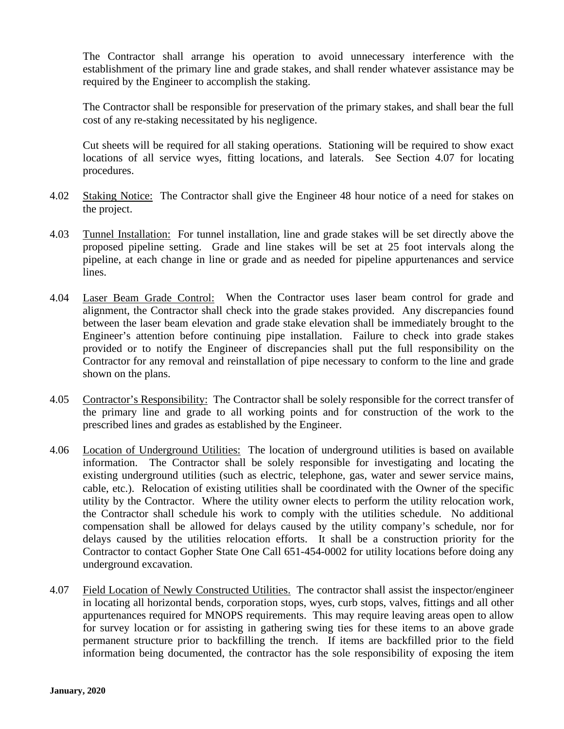The Contractor shall arrange his operation to avoid unnecessary interference with the establishment of the primary line and grade stakes, and shall render whatever assistance may be required by the Engineer to accomplish the staking.

The Contractor shall be responsible for preservation of the primary stakes, and shall bear the full cost of any re-staking necessitated by his negligence.

Cut sheets will be required for all staking operations. Stationing will be required to show exact locations of all service wyes, fitting locations, and laterals. See Section 4.07 for locating procedures.

- 4.02 Staking Notice: The Contractor shall give the Engineer 48 hour notice of a need for stakes on the project.
- 4.03 Tunnel Installation: For tunnel installation, line and grade stakes will be set directly above the proposed pipeline setting. Grade and line stakes will be set at 25 foot intervals along the pipeline, at each change in line or grade and as needed for pipeline appurtenances and service lines.
- 4.04 Laser Beam Grade Control: When the Contractor uses laser beam control for grade and alignment, the Contractor shall check into the grade stakes provided. Any discrepancies found between the laser beam elevation and grade stake elevation shall be immediately brought to the Engineer's attention before continuing pipe installation. Failure to check into grade stakes provided or to notify the Engineer of discrepancies shall put the full responsibility on the Contractor for any removal and reinstallation of pipe necessary to conform to the line and grade shown on the plans.
- 4.05 Contractor's Responsibility: The Contractor shall be solely responsible for the correct transfer of the primary line and grade to all working points and for construction of the work to the prescribed lines and grades as established by the Engineer.
- 4.06 Location of Underground Utilities: The location of underground utilities is based on available information. The Contractor shall be solely responsible for investigating and locating the existing underground utilities (such as electric, telephone, gas, water and sewer service mains, cable, etc.). Relocation of existing utilities shall be coordinated with the Owner of the specific utility by the Contractor. Where the utility owner elects to perform the utility relocation work, the Contractor shall schedule his work to comply with the utilities schedule. No additional compensation shall be allowed for delays caused by the utility company's schedule, nor for delays caused by the utilities relocation efforts. It shall be a construction priority for the Contractor to contact Gopher State One Call 651-454-0002 for utility locations before doing any underground excavation.
- 4.07 Field Location of Newly Constructed Utilities. The contractor shall assist the inspector/engineer in locating all horizontal bends, corporation stops, wyes, curb stops, valves, fittings and all other appurtenances required for MNOPS requirements. This may require leaving areas open to allow for survey location or for assisting in gathering swing ties for these items to an above grade permanent structure prior to backfilling the trench. If items are backfilled prior to the field information being documented, the contractor has the sole responsibility of exposing the item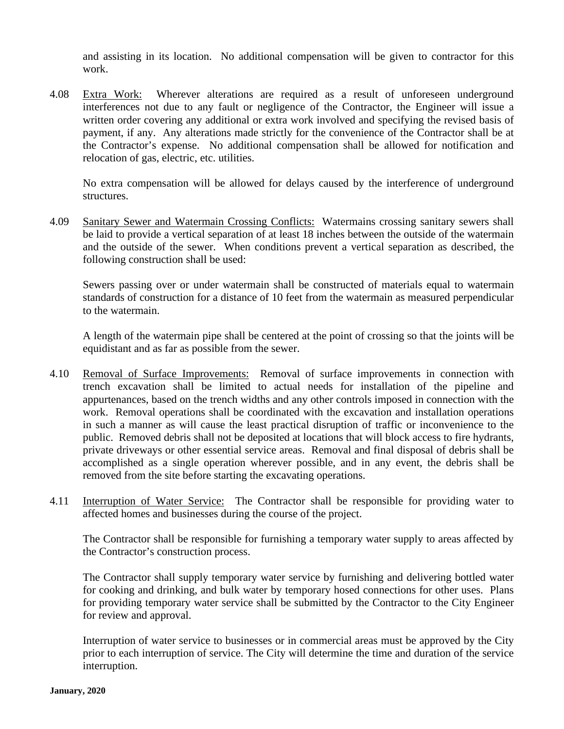and assisting in its location. No additional compensation will be given to contractor for this work.

4.08 Extra Work: Wherever alterations are required as a result of unforeseen underground interferences not due to any fault or negligence of the Contractor, the Engineer will issue a written order covering any additional or extra work involved and specifying the revised basis of payment, if any. Any alterations made strictly for the convenience of the Contractor shall be at the Contractor's expense. No additional compensation shall be allowed for notification and relocation of gas, electric, etc. utilities.

No extra compensation will be allowed for delays caused by the interference of underground structures.

4.09 Sanitary Sewer and Watermain Crossing Conflicts: Watermains crossing sanitary sewers shall be laid to provide a vertical separation of at least 18 inches between the outside of the watermain and the outside of the sewer. When conditions prevent a vertical separation as described, the following construction shall be used:

Sewers passing over or under watermain shall be constructed of materials equal to watermain standards of construction for a distance of 10 feet from the watermain as measured perpendicular to the watermain.

A length of the watermain pipe shall be centered at the point of crossing so that the joints will be equidistant and as far as possible from the sewer.

- 4.10 Removal of Surface Improvements: Removal of surface improvements in connection with trench excavation shall be limited to actual needs for installation of the pipeline and appurtenances, based on the trench widths and any other controls imposed in connection with the work. Removal operations shall be coordinated with the excavation and installation operations in such a manner as will cause the least practical disruption of traffic or inconvenience to the public. Removed debris shall not be deposited at locations that will block access to fire hydrants, private driveways or other essential service areas. Removal and final disposal of debris shall be accomplished as a single operation wherever possible, and in any event, the debris shall be removed from the site before starting the excavating operations.
- 4.11 Interruption of Water Service: The Contractor shall be responsible for providing water to affected homes and businesses during the course of the project.

The Contractor shall be responsible for furnishing a temporary water supply to areas affected by the Contractor's construction process.

The Contractor shall supply temporary water service by furnishing and delivering bottled water for cooking and drinking, and bulk water by temporary hosed connections for other uses. Plans for providing temporary water service shall be submitted by the Contractor to the City Engineer for review and approval.

Interruption of water service to businesses or in commercial areas must be approved by the City prior to each interruption of service. The City will determine the time and duration of the service interruption.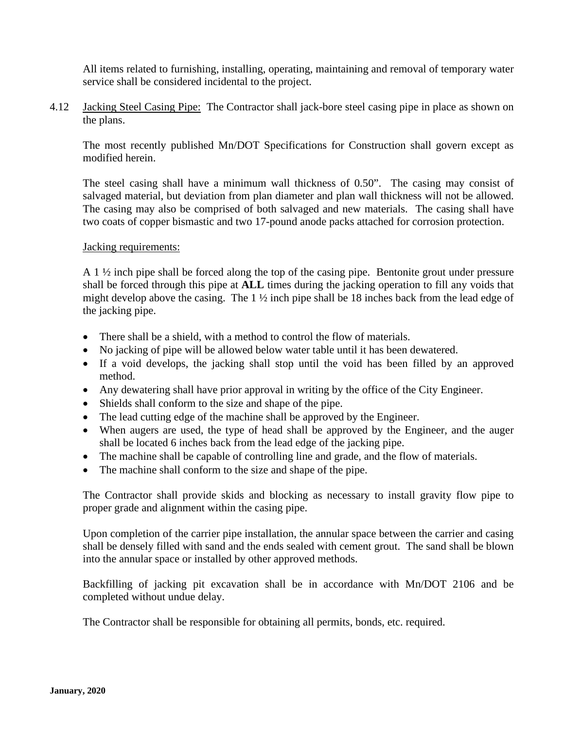All items related to furnishing, installing, operating, maintaining and removal of temporary water service shall be considered incidental to the project.

4.12 Jacking Steel Casing Pipe: The Contractor shall jack-bore steel casing pipe in place as shown on the plans.

The most recently published Mn/DOT Specifications for Construction shall govern except as modified herein.

The steel casing shall have a minimum wall thickness of 0.50". The casing may consist of salvaged material, but deviation from plan diameter and plan wall thickness will not be allowed. The casing may also be comprised of both salvaged and new materials. The casing shall have two coats of copper bismastic and two 17-pound anode packs attached for corrosion protection.

#### Jacking requirements:

A 1 ½ inch pipe shall be forced along the top of the casing pipe. Bentonite grout under pressure shall be forced through this pipe at **ALL** times during the jacking operation to fill any voids that might develop above the casing. The 1 ½ inch pipe shall be 18 inches back from the lead edge of the jacking pipe.

- There shall be a shield, with a method to control the flow of materials.
- No jacking of pipe will be allowed below water table until it has been dewatered.
- If a void develops, the jacking shall stop until the void has been filled by an approved method.
- Any dewatering shall have prior approval in writing by the office of the City Engineer.
- Shields shall conform to the size and shape of the pipe.
- The lead cutting edge of the machine shall be approved by the Engineer.
- When augers are used, the type of head shall be approved by the Engineer, and the auger shall be located 6 inches back from the lead edge of the jacking pipe.
- The machine shall be capable of controlling line and grade, and the flow of materials.
- The machine shall conform to the size and shape of the pipe.

The Contractor shall provide skids and blocking as necessary to install gravity flow pipe to proper grade and alignment within the casing pipe.

Upon completion of the carrier pipe installation, the annular space between the carrier and casing shall be densely filled with sand and the ends sealed with cement grout. The sand shall be blown into the annular space or installed by other approved methods.

Backfilling of jacking pit excavation shall be in accordance with Mn/DOT 2106 and be completed without undue delay.

The Contractor shall be responsible for obtaining all permits, bonds, etc. required.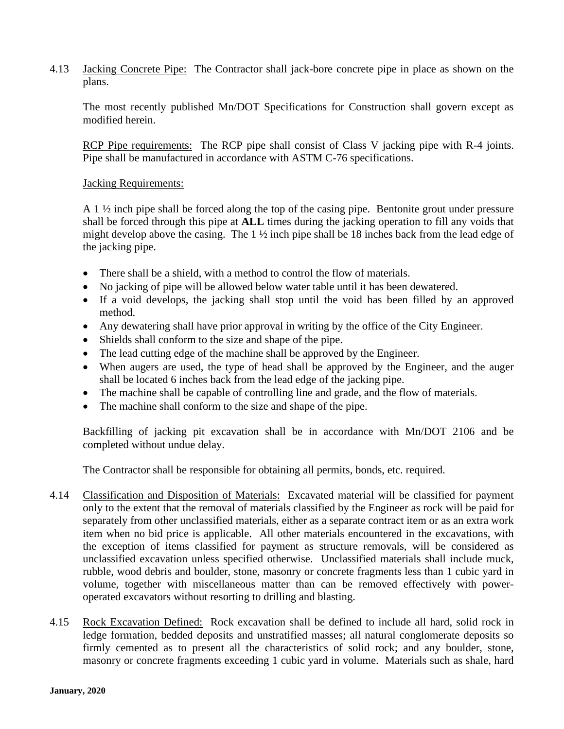4.13 Jacking Concrete Pipe: The Contractor shall jack-bore concrete pipe in place as shown on the plans.

The most recently published Mn/DOT Specifications for Construction shall govern except as modified herein.

RCP Pipe requirements: The RCP pipe shall consist of Class V jacking pipe with R-4 joints. Pipe shall be manufactured in accordance with ASTM C-76 specifications.

#### Jacking Requirements:

A  $1\frac{1}{2}$  inch pipe shall be forced along the top of the casing pipe. Bentonite grout under pressure shall be forced through this pipe at **ALL** times during the jacking operation to fill any voids that might develop above the casing. The 1 ½ inch pipe shall be 18 inches back from the lead edge of the jacking pipe.

- There shall be a shield, with a method to control the flow of materials.
- No jacking of pipe will be allowed below water table until it has been dewatered.
- If a void develops, the jacking shall stop until the void has been filled by an approved method.
- Any dewatering shall have prior approval in writing by the office of the City Engineer.
- Shields shall conform to the size and shape of the pipe.
- The lead cutting edge of the machine shall be approved by the Engineer.
- When augers are used, the type of head shall be approved by the Engineer, and the auger shall be located 6 inches back from the lead edge of the jacking pipe.
- The machine shall be capable of controlling line and grade, and the flow of materials.
- The machine shall conform to the size and shape of the pipe.

Backfilling of jacking pit excavation shall be in accordance with Mn/DOT 2106 and be completed without undue delay.

The Contractor shall be responsible for obtaining all permits, bonds, etc. required.

- 4.14 Classification and Disposition of Materials: Excavated material will be classified for payment only to the extent that the removal of materials classified by the Engineer as rock will be paid for separately from other unclassified materials, either as a separate contract item or as an extra work item when no bid price is applicable. All other materials encountered in the excavations, with the exception of items classified for payment as structure removals, will be considered as unclassified excavation unless specified otherwise. Unclassified materials shall include muck, rubble, wood debris and boulder, stone, masonry or concrete fragments less than 1 cubic yard in volume, together with miscellaneous matter than can be removed effectively with poweroperated excavators without resorting to drilling and blasting.
- 4.15 Rock Excavation Defined: Rock excavation shall be defined to include all hard, solid rock in ledge formation, bedded deposits and unstratified masses; all natural conglomerate deposits so firmly cemented as to present all the characteristics of solid rock; and any boulder, stone, masonry or concrete fragments exceeding 1 cubic yard in volume. Materials such as shale, hard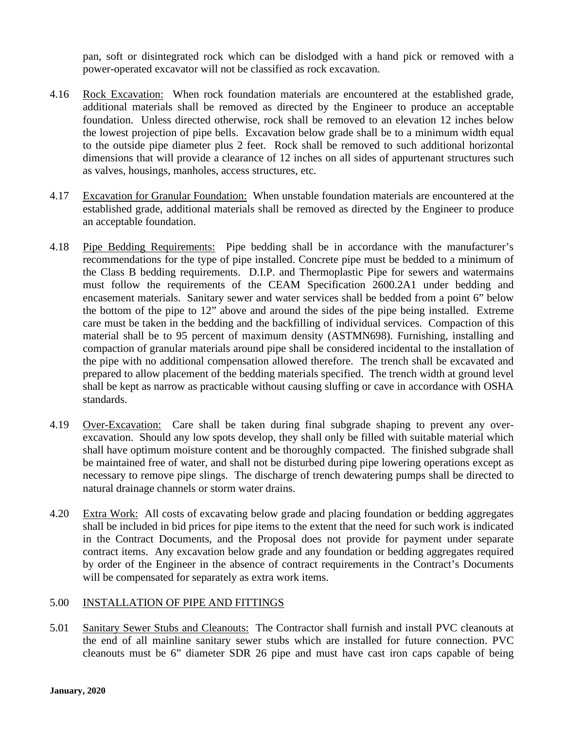pan, soft or disintegrated rock which can be dislodged with a hand pick or removed with a power-operated excavator will not be classified as rock excavation.

- 4.16 Rock Excavation: When rock foundation materials are encountered at the established grade, additional materials shall be removed as directed by the Engineer to produce an acceptable foundation. Unless directed otherwise, rock shall be removed to an elevation 12 inches below the lowest projection of pipe bells. Excavation below grade shall be to a minimum width equal to the outside pipe diameter plus 2 feet. Rock shall be removed to such additional horizontal dimensions that will provide a clearance of 12 inches on all sides of appurtenant structures such as valves, housings, manholes, access structures, etc.
- 4.17 Excavation for Granular Foundation: When unstable foundation materials are encountered at the established grade, additional materials shall be removed as directed by the Engineer to produce an acceptable foundation.
- 4.18 Pipe Bedding Requirements: Pipe bedding shall be in accordance with the manufacturer's recommendations for the type of pipe installed. Concrete pipe must be bedded to a minimum of the Class B bedding requirements. D.I.P. and Thermoplastic Pipe for sewers and watermains must follow the requirements of the CEAM Specification 2600.2A1 under bedding and encasement materials. Sanitary sewer and water services shall be bedded from a point 6" below the bottom of the pipe to 12" above and around the sides of the pipe being installed. Extreme care must be taken in the bedding and the backfilling of individual services. Compaction of this material shall be to 95 percent of maximum density (ASTMN698). Furnishing, installing and compaction of granular materials around pipe shall be considered incidental to the installation of the pipe with no additional compensation allowed therefore. The trench shall be excavated and prepared to allow placement of the bedding materials specified. The trench width at ground level shall be kept as narrow as practicable without causing sluffing or cave in accordance with OSHA standards.
- 4.19 Over-Excavation: Care shall be taken during final subgrade shaping to prevent any overexcavation. Should any low spots develop, they shall only be filled with suitable material which shall have optimum moisture content and be thoroughly compacted. The finished subgrade shall be maintained free of water, and shall not be disturbed during pipe lowering operations except as necessary to remove pipe slings. The discharge of trench dewatering pumps shall be directed to natural drainage channels or storm water drains.
- 4.20 Extra Work: All costs of excavating below grade and placing foundation or bedding aggregates shall be included in bid prices for pipe items to the extent that the need for such work is indicated in the Contract Documents, and the Proposal does not provide for payment under separate contract items. Any excavation below grade and any foundation or bedding aggregates required by order of the Engineer in the absence of contract requirements in the Contract's Documents will be compensated for separately as extra work items.

#### 5.00 INSTALLATION OF PIPE AND FITTINGS

5.01 Sanitary Sewer Stubs and Cleanouts: The Contractor shall furnish and install PVC cleanouts at the end of all mainline sanitary sewer stubs which are installed for future connection. PVC cleanouts must be 6" diameter SDR 26 pipe and must have cast iron caps capable of being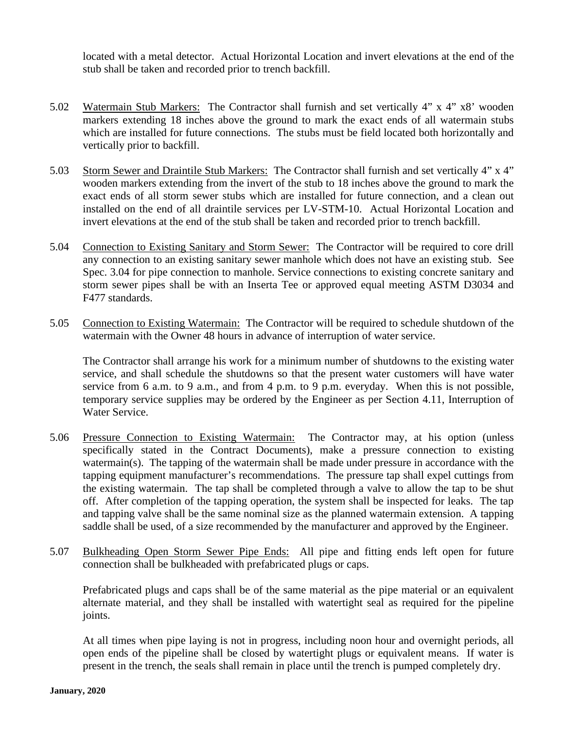located with a metal detector. Actual Horizontal Location and invert elevations at the end of the stub shall be taken and recorded prior to trench backfill.

- 5.02 Watermain Stub Markers: The Contractor shall furnish and set vertically 4" x 4" x8' wooden markers extending 18 inches above the ground to mark the exact ends of all watermain stubs which are installed for future connections. The stubs must be field located both horizontally and vertically prior to backfill.
- 5.03 Storm Sewer and Draintile Stub Markers: The Contractor shall furnish and set vertically 4" x 4" wooden markers extending from the invert of the stub to 18 inches above the ground to mark the exact ends of all storm sewer stubs which are installed for future connection, and a clean out installed on the end of all draintile services per LV-STM-10. Actual Horizontal Location and invert elevations at the end of the stub shall be taken and recorded prior to trench backfill.
- 5.04 Connection to Existing Sanitary and Storm Sewer: The Contractor will be required to core drill any connection to an existing sanitary sewer manhole which does not have an existing stub. See Spec. 3.04 for pipe connection to manhole. Service connections to existing concrete sanitary and storm sewer pipes shall be with an Inserta Tee or approved equal meeting ASTM D3034 and F477 standards.
- 5.05 Connection to Existing Watermain: The Contractor will be required to schedule shutdown of the watermain with the Owner 48 hours in advance of interruption of water service.

The Contractor shall arrange his work for a minimum number of shutdowns to the existing water service, and shall schedule the shutdowns so that the present water customers will have water service from 6 a.m. to 9 a.m., and from 4 p.m. to 9 p.m. everyday. When this is not possible, temporary service supplies may be ordered by the Engineer as per Section 4.11, Interruption of Water Service.

- 5.06 Pressure Connection to Existing Watermain: The Contractor may, at his option (unless specifically stated in the Contract Documents), make a pressure connection to existing watermain(s). The tapping of the watermain shall be made under pressure in accordance with the tapping equipment manufacturer's recommendations. The pressure tap shall expel cuttings from the existing watermain. The tap shall be completed through a valve to allow the tap to be shut off. After completion of the tapping operation, the system shall be inspected for leaks. The tap and tapping valve shall be the same nominal size as the planned watermain extension. A tapping saddle shall be used, of a size recommended by the manufacturer and approved by the Engineer.
- 5.07 Bulkheading Open Storm Sewer Pipe Ends: All pipe and fitting ends left open for future connection shall be bulkheaded with prefabricated plugs or caps.

Prefabricated plugs and caps shall be of the same material as the pipe material or an equivalent alternate material, and they shall be installed with watertight seal as required for the pipeline joints.

At all times when pipe laying is not in progress, including noon hour and overnight periods, all open ends of the pipeline shall be closed by watertight plugs or equivalent means. If water is present in the trench, the seals shall remain in place until the trench is pumped completely dry.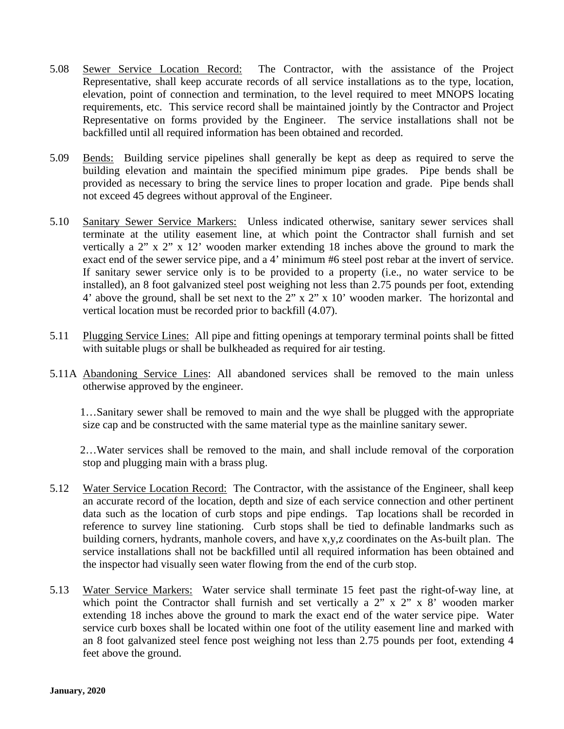- 5.08 Sewer Service Location Record: The Contractor, with the assistance of the Project Representative, shall keep accurate records of all service installations as to the type, location, elevation, point of connection and termination, to the level required to meet MNOPS locating requirements, etc. This service record shall be maintained jointly by the Contractor and Project Representative on forms provided by the Engineer. The service installations shall not be backfilled until all required information has been obtained and recorded.
- 5.09 Bends: Building service pipelines shall generally be kept as deep as required to serve the building elevation and maintain the specified minimum pipe grades. Pipe bends shall be provided as necessary to bring the service lines to proper location and grade. Pipe bends shall not exceed 45 degrees without approval of the Engineer.
- 5.10 Sanitary Sewer Service Markers: Unless indicated otherwise, sanitary sewer services shall terminate at the utility easement line, at which point the Contractor shall furnish and set vertically a 2" x 2" x 12' wooden marker extending 18 inches above the ground to mark the exact end of the sewer service pipe, and a 4' minimum #6 steel post rebar at the invert of service. If sanitary sewer service only is to be provided to a property (i.e., no water service to be installed), an 8 foot galvanized steel post weighing not less than 2.75 pounds per foot, extending 4' above the ground, shall be set next to the 2" x 2" x 10' wooden marker. The horizontal and vertical location must be recorded prior to backfill (4.07).
- 5.11 Plugging Service Lines: All pipe and fitting openings at temporary terminal points shall be fitted with suitable plugs or shall be bulkheaded as required for air testing.
- 5.11A Abandoning Service Lines: All abandoned services shall be removed to the main unless otherwise approved by the engineer.

 1…Sanitary sewer shall be removed to main and the wye shall be plugged with the appropriate size cap and be constructed with the same material type as the mainline sanitary sewer.

 2…Water services shall be removed to the main, and shall include removal of the corporation stop and plugging main with a brass plug.

- 5.12 Water Service Location Record: The Contractor, with the assistance of the Engineer, shall keep an accurate record of the location, depth and size of each service connection and other pertinent data such as the location of curb stops and pipe endings. Tap locations shall be recorded in reference to survey line stationing. Curb stops shall be tied to definable landmarks such as building corners, hydrants, manhole covers, and have x,y,z coordinates on the As-built plan. The service installations shall not be backfilled until all required information has been obtained and the inspector had visually seen water flowing from the end of the curb stop.
- 5.13 Water Service Markers: Water service shall terminate 15 feet past the right-of-way line, at which point the Contractor shall furnish and set vertically a 2" x 2" x 8' wooden marker extending 18 inches above the ground to mark the exact end of the water service pipe. Water service curb boxes shall be located within one foot of the utility easement line and marked with an 8 foot galvanized steel fence post weighing not less than 2.75 pounds per foot, extending 4 feet above the ground.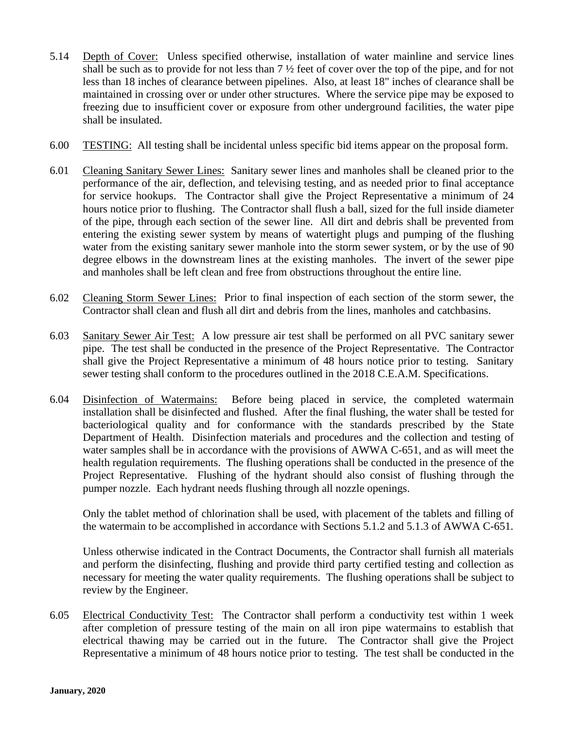- 5.14 Depth of Cover: Unless specified otherwise, installation of water mainline and service lines shall be such as to provide for not less than 7 ½ feet of cover over the top of the pipe, and for not less than 18 inches of clearance between pipelines. Also, at least 18" inches of clearance shall be maintained in crossing over or under other structures. Where the service pipe may be exposed to freezing due to insufficient cover or exposure from other underground facilities, the water pipe shall be insulated.
- 6.00 TESTING: All testing shall be incidental unless specific bid items appear on the proposal form.
- 6.01 Cleaning Sanitary Sewer Lines: Sanitary sewer lines and manholes shall be cleaned prior to the performance of the air, deflection, and televising testing, and as needed prior to final acceptance for service hookups. The Contractor shall give the Project Representative a minimum of 24 hours notice prior to flushing. The Contractor shall flush a ball, sized for the full inside diameter of the pipe, through each section of the sewer line. All dirt and debris shall be prevented from entering the existing sewer system by means of watertight plugs and pumping of the flushing water from the existing sanitary sewer manhole into the storm sewer system, or by the use of 90 degree elbows in the downstream lines at the existing manholes. The invert of the sewer pipe and manholes shall be left clean and free from obstructions throughout the entire line.
- 6.02 Cleaning Storm Sewer Lines: Prior to final inspection of each section of the storm sewer, the Contractor shall clean and flush all dirt and debris from the lines, manholes and catchbasins.
- 6.03 Sanitary Sewer Air Test: A low pressure air test shall be performed on all PVC sanitary sewer pipe. The test shall be conducted in the presence of the Project Representative. The Contractor shall give the Project Representative a minimum of 48 hours notice prior to testing. Sanitary sewer testing shall conform to the procedures outlined in the 2018 C.E.A.M. Specifications.
- 6.04 Disinfection of Watermains: Before being placed in service, the completed watermain installation shall be disinfected and flushed. After the final flushing, the water shall be tested for bacteriological quality and for conformance with the standards prescribed by the State Department of Health. Disinfection materials and procedures and the collection and testing of water samples shall be in accordance with the provisions of AWWA C-651, and as will meet the health regulation requirements. The flushing operations shall be conducted in the presence of the Project Representative. Flushing of the hydrant should also consist of flushing through the pumper nozzle. Each hydrant needs flushing through all nozzle openings.

Only the tablet method of chlorination shall be used, with placement of the tablets and filling of the watermain to be accomplished in accordance with Sections 5.1.2 and 5.1.3 of AWWA C-651.

Unless otherwise indicated in the Contract Documents, the Contractor shall furnish all materials and perform the disinfecting, flushing and provide third party certified testing and collection as necessary for meeting the water quality requirements. The flushing operations shall be subject to review by the Engineer.

6.05 Electrical Conductivity Test: The Contractor shall perform a conductivity test within 1 week after completion of pressure testing of the main on all iron pipe watermains to establish that electrical thawing may be carried out in the future. The Contractor shall give the Project Representative a minimum of 48 hours notice prior to testing. The test shall be conducted in the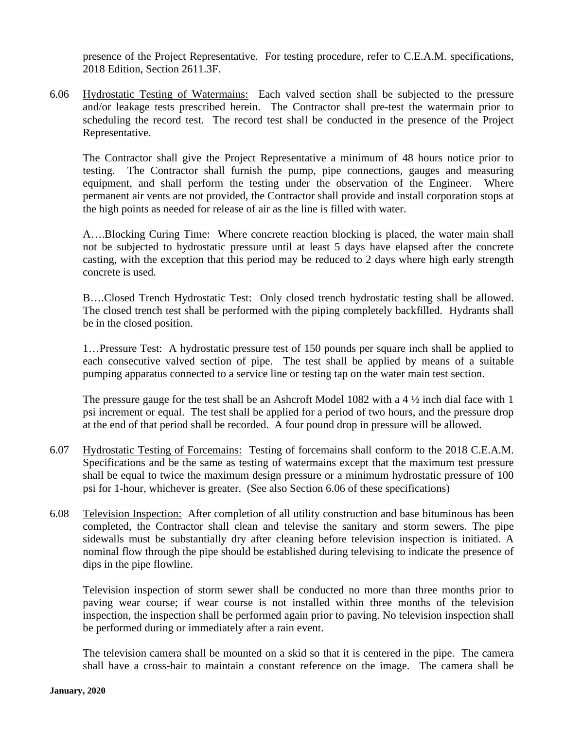presence of the Project Representative. For testing procedure, refer to C.E.A.M. specifications, 2018 Edition, Section 2611.3F.

6.06 Hydrostatic Testing of Watermains: Each valved section shall be subjected to the pressure and/or leakage tests prescribed herein. The Contractor shall pre-test the watermain prior to scheduling the record test. The record test shall be conducted in the presence of the Project Representative.

The Contractor shall give the Project Representative a minimum of 48 hours notice prior to testing. The Contractor shall furnish the pump, pipe connections, gauges and measuring equipment, and shall perform the testing under the observation of the Engineer. Where permanent air vents are not provided, the Contractor shall provide and install corporation stops at the high points as needed for release of air as the line is filled with water.

A….Blocking Curing Time: Where concrete reaction blocking is placed, the water main shall not be subjected to hydrostatic pressure until at least 5 days have elapsed after the concrete casting, with the exception that this period may be reduced to 2 days where high early strength concrete is used.

B….Closed Trench Hydrostatic Test: Only closed trench hydrostatic testing shall be allowed. The closed trench test shall be performed with the piping completely backfilled. Hydrants shall be in the closed position.

1…Pressure Test: A hydrostatic pressure test of 150 pounds per square inch shall be applied to each consecutive valved section of pipe. The test shall be applied by means of a suitable pumping apparatus connected to a service line or testing tap on the water main test section.

The pressure gauge for the test shall be an Ashcroft Model 1082 with a 4 ½ inch dial face with 1 psi increment or equal. The test shall be applied for a period of two hours, and the pressure drop at the end of that period shall be recorded. A four pound drop in pressure will be allowed.

- 6.07 Hydrostatic Testing of Forcemains: Testing of forcemains shall conform to the 2018 C.E.A.M. Specifications and be the same as testing of watermains except that the maximum test pressure shall be equal to twice the maximum design pressure or a minimum hydrostatic pressure of 100 psi for 1-hour, whichever is greater. (See also Section 6.06 of these specifications)
- 6.08 Television Inspection: After completion of all utility construction and base bituminous has been completed, the Contractor shall clean and televise the sanitary and storm sewers. The pipe sidewalls must be substantially dry after cleaning before television inspection is initiated. A nominal flow through the pipe should be established during televising to indicate the presence of dips in the pipe flowline.

Television inspection of storm sewer shall be conducted no more than three months prior to paving wear course; if wear course is not installed within three months of the television inspection, the inspection shall be performed again prior to paving. No television inspection shall be performed during or immediately after a rain event.

The television camera shall be mounted on a skid so that it is centered in the pipe. The camera shall have a cross-hair to maintain a constant reference on the image. The camera shall be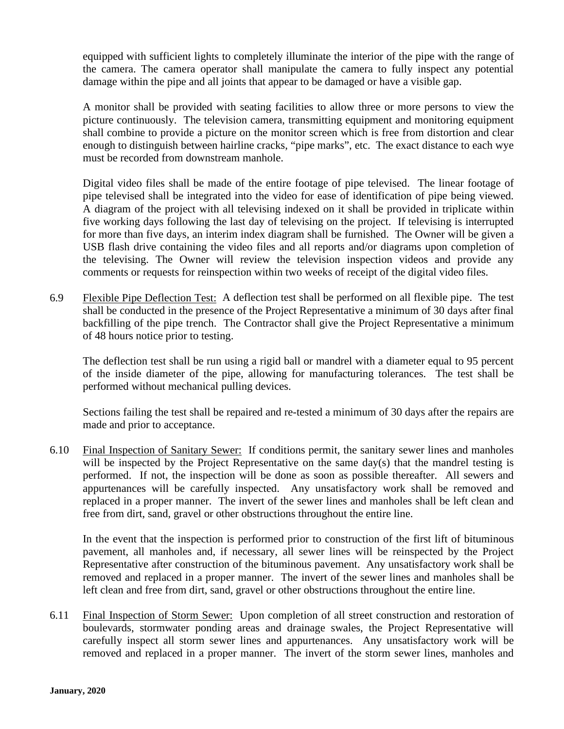equipped with sufficient lights to completely illuminate the interior of the pipe with the range of the camera. The camera operator shall manipulate the camera to fully inspect any potential damage within the pipe and all joints that appear to be damaged or have a visible gap.

A monitor shall be provided with seating facilities to allow three or more persons to view the picture continuously. The television camera, transmitting equipment and monitoring equipment shall combine to provide a picture on the monitor screen which is free from distortion and clear enough to distinguish between hairline cracks, "pipe marks", etc. The exact distance to each wye must be recorded from downstream manhole.

Digital video files shall be made of the entire footage of pipe televised. The linear footage of pipe televised shall be integrated into the video for ease of identification of pipe being viewed. A diagram of the project with all televising indexed on it shall be provided in triplicate within five working days following the last day of televising on the project. If televising is interrupted for more than five days, an interim index diagram shall be furnished. The Owner will be given a USB flash drive containing the video files and all reports and/or diagrams upon completion of the televising. The Owner will review the television inspection videos and provide any comments or requests for reinspection within two weeks of receipt of the digital video files.

6.9 Flexible Pipe Deflection Test: A deflection test shall be performed on all flexible pipe. The test shall be conducted in the presence of the Project Representative a minimum of 30 days after final backfilling of the pipe trench. The Contractor shall give the Project Representative a minimum of 48 hours notice prior to testing.

The deflection test shall be run using a rigid ball or mandrel with a diameter equal to 95 percent of the inside diameter of the pipe, allowing for manufacturing tolerances. The test shall be performed without mechanical pulling devices.

Sections failing the test shall be repaired and re-tested a minimum of 30 days after the repairs are made and prior to acceptance.

6.10 Final Inspection of Sanitary Sewer: If conditions permit, the sanitary sewer lines and manholes will be inspected by the Project Representative on the same day(s) that the mandrel testing is performed. If not, the inspection will be done as soon as possible thereafter. All sewers and appurtenances will be carefully inspected. Any unsatisfactory work shall be removed and replaced in a proper manner. The invert of the sewer lines and manholes shall be left clean and free from dirt, sand, gravel or other obstructions throughout the entire line.

In the event that the inspection is performed prior to construction of the first lift of bituminous pavement, all manholes and, if necessary, all sewer lines will be reinspected by the Project Representative after construction of the bituminous pavement. Any unsatisfactory work shall be removed and replaced in a proper manner. The invert of the sewer lines and manholes shall be left clean and free from dirt, sand, gravel or other obstructions throughout the entire line.

6.11 Final Inspection of Storm Sewer: Upon completion of all street construction and restoration of boulevards, stormwater ponding areas and drainage swales, the Project Representative will carefully inspect all storm sewer lines and appurtenances. Any unsatisfactory work will be removed and replaced in a proper manner. The invert of the storm sewer lines, manholes and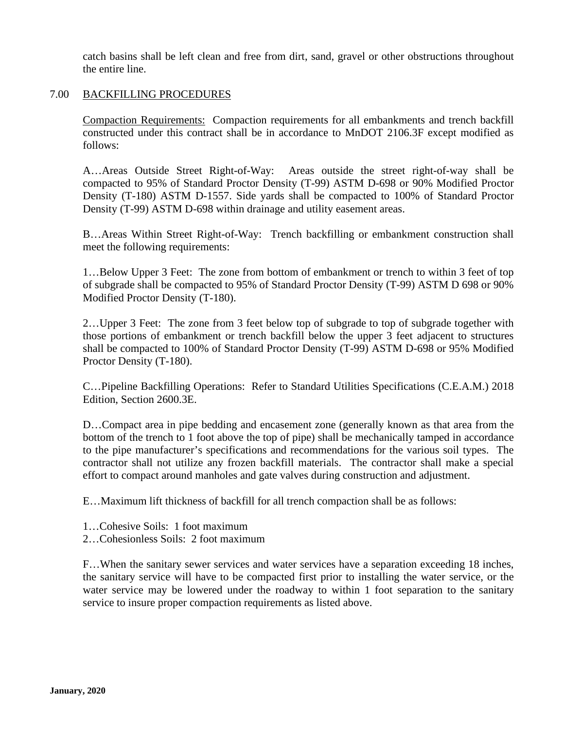catch basins shall be left clean and free from dirt, sand, gravel or other obstructions throughout the entire line.

#### 7.00 BACKFILLING PROCEDURES

Compaction Requirements: Compaction requirements for all embankments and trench backfill constructed under this contract shall be in accordance to MnDOT 2106.3F except modified as follows:

A…Areas Outside Street Right-of-Way: Areas outside the street right-of-way shall be compacted to 95% of Standard Proctor Density (T-99) ASTM D-698 or 90% Modified Proctor Density (T-180) ASTM D-1557. Side yards shall be compacted to 100% of Standard Proctor Density (T-99) ASTM D-698 within drainage and utility easement areas.

B…Areas Within Street Right-of-Way: Trench backfilling or embankment construction shall meet the following requirements:

1…Below Upper 3 Feet: The zone from bottom of embankment or trench to within 3 feet of top of subgrade shall be compacted to 95% of Standard Proctor Density (T-99) ASTM D 698 or 90% Modified Proctor Density (T-180).

2…Upper 3 Feet: The zone from 3 feet below top of subgrade to top of subgrade together with those portions of embankment or trench backfill below the upper 3 feet adjacent to structures shall be compacted to 100% of Standard Proctor Density (T-99) ASTM D-698 or 95% Modified Proctor Density (T-180).

C…Pipeline Backfilling Operations: Refer to Standard Utilities Specifications (C.E.A.M.) 2018 Edition, Section 2600.3E.

D…Compact area in pipe bedding and encasement zone (generally known as that area from the bottom of the trench to 1 foot above the top of pipe) shall be mechanically tamped in accordance to the pipe manufacturer's specifications and recommendations for the various soil types. The contractor shall not utilize any frozen backfill materials. The contractor shall make a special effort to compact around manholes and gate valves during construction and adjustment.

E…Maximum lift thickness of backfill for all trench compaction shall be as follows:

- 1…Cohesive Soils: 1 foot maximum
- 2…Cohesionless Soils: 2 foot maximum

F…When the sanitary sewer services and water services have a separation exceeding 18 inches, the sanitary service will have to be compacted first prior to installing the water service, or the water service may be lowered under the roadway to within 1 foot separation to the sanitary service to insure proper compaction requirements as listed above.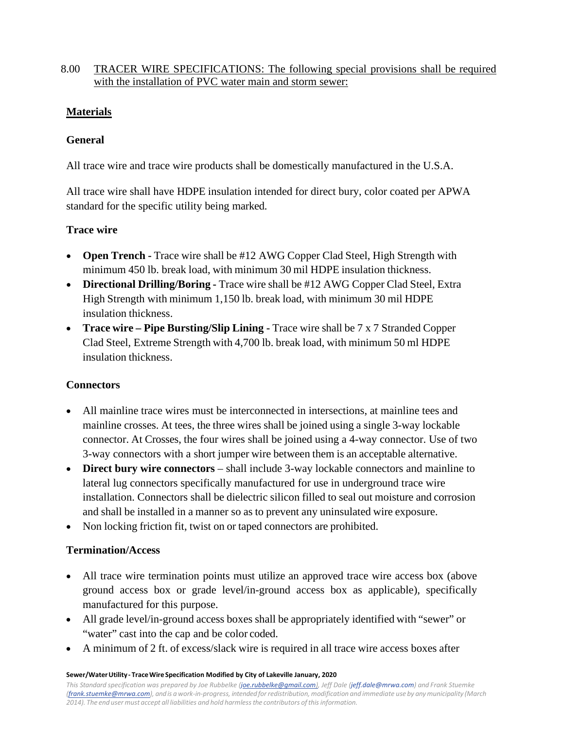8.00 TRACER WIRE SPECIFICATIONS: The following special provisions shall be required with the installation of PVC water main and storm sewer:

### **Materials**

#### **General**

All trace wire and trace wire products shall be domestically manufactured in the U.S.A.

All trace wire shall have HDPE insulation intended for direct bury, color coated per APWA standard for the specific utility being marked.

### **Trace wire**

- **Open Trench -** Trace wire shall be #12 AWG Copper Clad Steel, High Strength with minimum 450 lb. break load, with minimum 30 mil HDPE insulation thickness.
- **Directional Drilling/Boring -** Trace wire shall be #12 AWG Copper Clad Steel, Extra High Strength with minimum 1,150 lb. break load, with minimum 30 mil HDPE insulation thickness.
- **Trace wire – Pipe Bursting/Slip Lining -** Trace wire shall be 7 x 7 Stranded Copper Clad Steel, Extreme Strength with 4,700 lb. break load, with minimum 50 ml HDPE insulation thickness.

#### **Connectors**

- All mainline trace wires must be interconnected in intersections, at mainline tees and mainline crosses. At tees, the three wires shall be joined using a single 3-way lockable connector. At Crosses, the four wires shall be joined using a 4-way connector. Use of two 3-way connectors with a short jumper wire between them is an acceptable alternative.
- **Direct bury wire connectors** shall include 3-way lockable connectors and mainline to lateral lug connectors specifically manufactured for use in underground trace wire installation. Connectors shall be dielectric silicon filled to seal out moisture and corrosion and shall be installed in a manner so as to prevent any uninsulated wire exposure.
- Non locking friction fit, twist on or taped connectors are prohibited.

# **Termination/Access**

- All trace wire termination points must utilize an approved trace wire access box (above ground access box or grade level/in-ground access box as applicable), specifically manufactured for this purpose.
- All grade level/in-ground access boxes shall be appropriately identified with "sewer" or "water" cast into the cap and be color coded.
- A minimum of 2 ft. of excess/slack wire is required in all trace wire access boxes after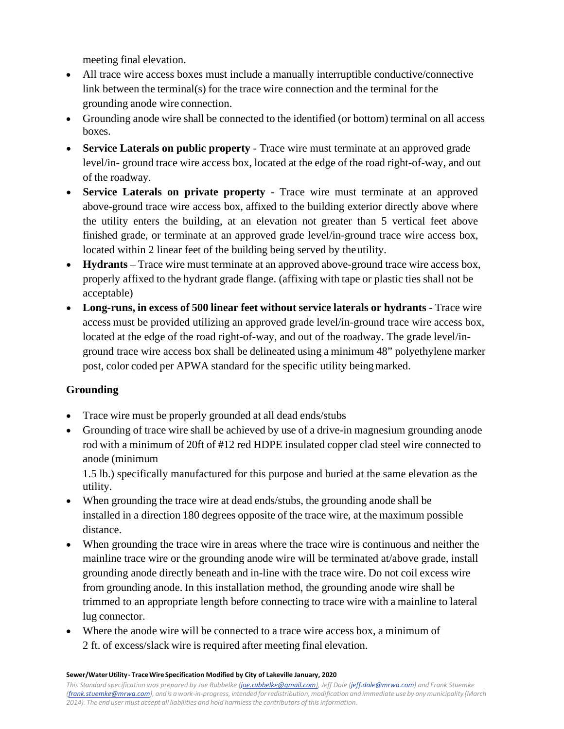meeting final elevation.

- All trace wire access boxes must include a manually interruptible conductive/connective link between the terminal(s) for the trace wire connection and the terminal for the grounding anode wire connection.
- Grounding anode wire shall be connected to the identified (or bottom) terminal on all access boxes.
- **Service Laterals on public property** Trace wire must terminate at an approved grade level/in- ground trace wire access box, located at the edge of the road right-of-way, and out of the roadway.
- **Service Laterals on private property** Trace wire must terminate at an approved above-ground trace wire access box, affixed to the building exterior directly above where the utility enters the building, at an elevation not greater than 5 vertical feet above finished grade, or terminate at an approved grade level/in-ground trace wire access box, located within 2 linear feet of the building being served by theutility.
- **Hydrants** Trace wire must terminate at an approved above-ground trace wire access box, properly affixed to the hydrant grade flange. (affixing with tape or plastic ties shall not be acceptable)
- **Long-runs, in excess of 500 linear feet without service laterals or hydrants** Trace wire access must be provided utilizing an approved grade level/in-ground trace wire access box, located at the edge of the road right-of-way, and out of the roadway. The grade level/inground trace wire access box shall be delineated using a minimum 48" polyethylene marker post, color coded per APWA standard for the specific utility beingmarked.

# **Grounding**

- Trace wire must be properly grounded at all dead ends/stubs
- Grounding of trace wire shall be achieved by use of a drive-in magnesium grounding anode rod with a minimum of 20ft of #12 red HDPE insulated copper clad steel wire connected to anode (minimum

1.5 lb.) specifically manufactured for this purpose and buried at the same elevation as the utility.

- When grounding the trace wire at dead ends/stubs, the grounding anode shall be installed in a direction 180 degrees opposite of the trace wire, at the maximum possible distance.
- When grounding the trace wire in areas where the trace wire is continuous and neither the mainline trace wire or the grounding anode wire will be terminated at/above grade, install grounding anode directly beneath and in-line with the trace wire. Do not coil excess wire from grounding anode. In this installation method, the grounding anode wire shall be trimmed to an appropriate length before connecting to trace wire with a mainline to lateral lug connector.
- Where the anode wire will be connected to a trace wire access box, a minimum of 2 ft. of excess/slack wire is required after meeting final elevation.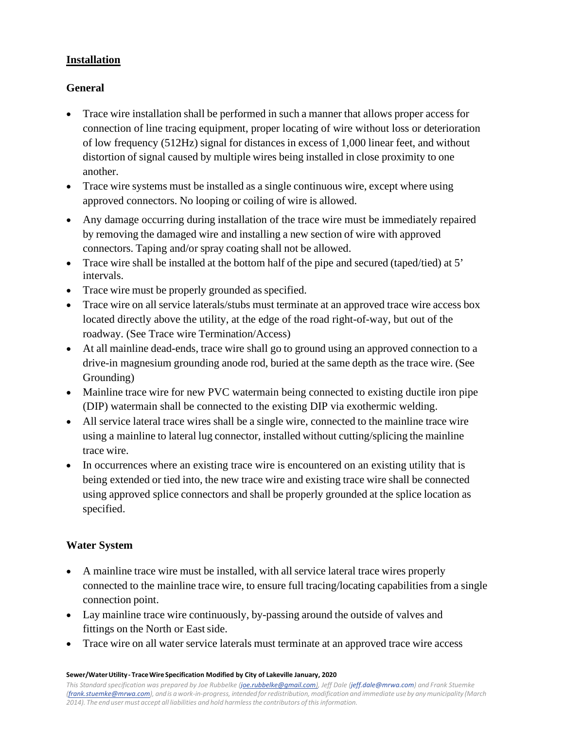## **Installation**

### **General**

- Trace wire installation shall be performed in such a manner that allows proper access for connection of line tracing equipment, proper locating of wire without loss or deterioration of low frequency (512Hz) signal for distances in excess of 1,000 linear feet, and without distortion of signal caused by multiple wires being installed in close proximity to one another.
- Trace wire systems must be installed as a single continuous wire, except where using approved connectors. No looping or coiling of wire is allowed.
- Any damage occurring during installation of the trace wire must be immediately repaired by removing the damaged wire and installing a new section of wire with approved connectors. Taping and/or spray coating shall not be allowed.
- Trace wire shall be installed at the bottom half of the pipe and secured (taped/tied) at 5' intervals.
- Trace wire must be properly grounded as specified.
- Trace wire on all service laterals/stubs must terminate at an approved trace wire access box located directly above the utility, at the edge of the road right-of-way, but out of the roadway. (See Trace wire Termination/Access)
- At all mainline dead-ends, trace wire shall go to ground using an approved connection to a drive-in magnesium grounding anode rod, buried at the same depth as the trace wire. (See Grounding)
- Mainline trace wire for new PVC watermain being connected to existing ductile iron pipe (DIP) watermain shall be connected to the existing DIP via exothermic welding.
- All service lateral trace wires shall be a single wire, connected to the mainline trace wire using a mainline to lateral lug connector, installed without cutting/splicing the mainline trace wire.
- In occurrences where an existing trace wire is encountered on an existing utility that is being extended or tied into, the new trace wire and existing trace wire shall be connected using approved splice connectors and shall be properly grounded at the splice location as specified.

#### **Water System**

- A mainline trace wire must be installed, with all service lateral trace wires properly connected to the mainline trace wire, to ensure full tracing/locating capabilities from a single connection point.
- Lay mainline trace wire continuously, by-passing around the outside of valves and fittings on the North or East side.
- Trace wire on all water service laterals must terminate at an approved trace wire access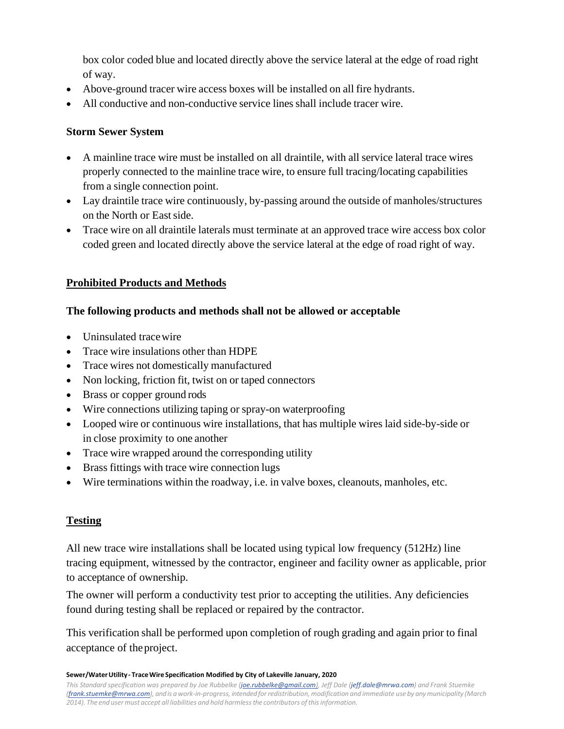box color coded blue and located directly above the service lateral at the edge of road right of way.

- Above-ground tracer wire access boxes will be installed on all fire hydrants.
- All conductive and non-conductive service lines shall include tracer wire.

# **Storm Sewer System**

- A mainline trace wire must be installed on all draintile, with all service lateral trace wires properly connected to the mainline trace wire, to ensure full tracing/locating capabilities from a single connection point.
- Lay draintile trace wire continuously, by-passing around the outside of manholes/structures on the North or Eastside.
- Trace wire on all draintile laterals must terminate at an approved trace wire access box color coded green and located directly above the service lateral at the edge of road right of way.

# **Prohibited Products and Methods**

# **The following products and methods shall not be allowed or acceptable**

- Uninsulated tracewire
- Trace wire insulations other than HDPE
- Trace wires not domestically manufactured
- Non locking, friction fit, twist on or taped connectors
- Brass or copper ground rods
- Wire connections utilizing taping or spray-on waterproofing
- Looped wire or continuous wire installations, that has multiple wires laid side-by-side or in close proximity to one another
- Trace wire wrapped around the corresponding utility
- Brass fittings with trace wire connection lugs
- Wire terminations within the roadway, i.e. in valve boxes, cleanouts, manholes, etc.

# **Testing**

All new trace wire installations shall be located using typical low frequency (512Hz) line tracing equipment, witnessed by the contractor, engineer and facility owner as applicable, prior to acceptance of ownership.

The owner will perform a conductivity test prior to accepting the utilities. Any deficiencies found during testing shall be replaced or repaired by the contractor.

This verification shall be performed upon completion of rough grading and again prior to final acceptance of theproject.

**Sewer/WaterUtility - TraceWire Specification Modified by City of Lakeville January, 2020**

*This Standard specification was prepared by Joe Rubbel[ke \(joe.rubbelke@gmail.com\),](mailto:joe.rubbelke@gmail.com) Jeff Dal[e \(jeff.dale@mrwa.com\)](mailto:jeff.dale@mrwa.com) and Frank Stuemke [\(frank.stuemke@mrwa.com\),](mailto:frank.stuemke@mrwa.com) andis awork-in-progress, intended forredistribution, modification and immediate use by anymunicipality (March 2014). The end user must accept all liabilities and hold harmlessthe contributors ofthisinformation.*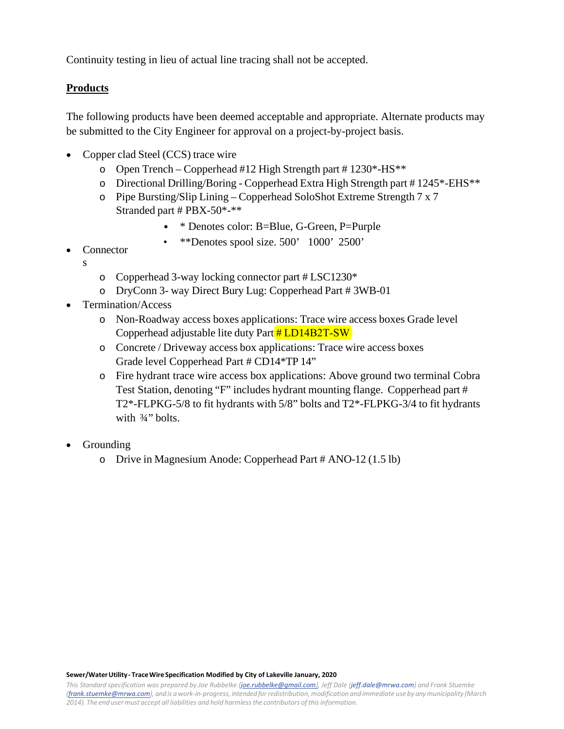Continuity testing in lieu of actual line tracing shall not be accepted.

## **Products**

The following products have been deemed acceptable and appropriate. Alternate products may be submitted to the City Engineer for approval on a project-by-project basis.

- Copper clad Steel (CCS) trace wire
	- $\degree$  Open Trench Copperhead #12 High Strength part #1230\*-HS\*\*
	- o Directional Drilling/Boring Copperhead Extra High Strength part # 1245\*-EHS\*\*
	- o Pipe Bursting/Slip Lining Copperhead SoloShot Extreme Strength 7 x 7 Stranded part # PBX-50\*-\*\*
		- \* Denotes color: B=Blue, G-Green, P=Purple
		- \*\*Denotes spool size. 500' 1000' 2500'
- Connector
	- s
- o Copperhead 3-way locking connector part # LSC1230\*
- o DryConn 3- way Direct Bury Lug: Copperhead Part # 3WB-01
- Termination/Access
	- o Non-Roadway access boxes applications: Trace wire access boxes Grade level Copperhead adjustable lite duty Part # LD14B2T-SW
	- o Concrete / Driveway access box applications: Trace wire access boxes Grade level Copperhead Part # CD14\*TP 14"
	- o Fire hydrant trace wire access box applications: Above ground two terminal Cobra Test Station, denoting "F" includes hydrant mounting flange. Copperhead part # T2\*-FLPKG-5/8 to fit hydrants with 5/8" bolts and T2\*-FLPKG-3/4 to fit hydrants with  $\frac{3}{4}$ " bolts.
- **Grounding** 
	- o Drive in Magnesium Anode: Copperhead Part # ANO-12 (1.5 lb)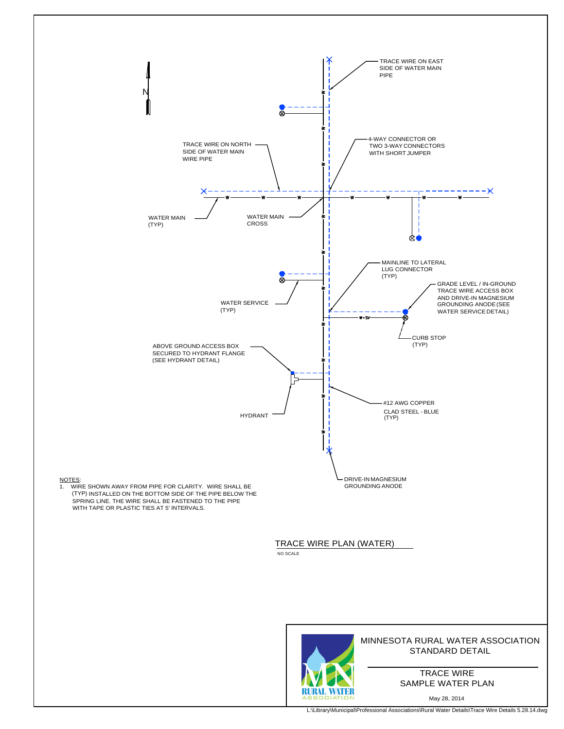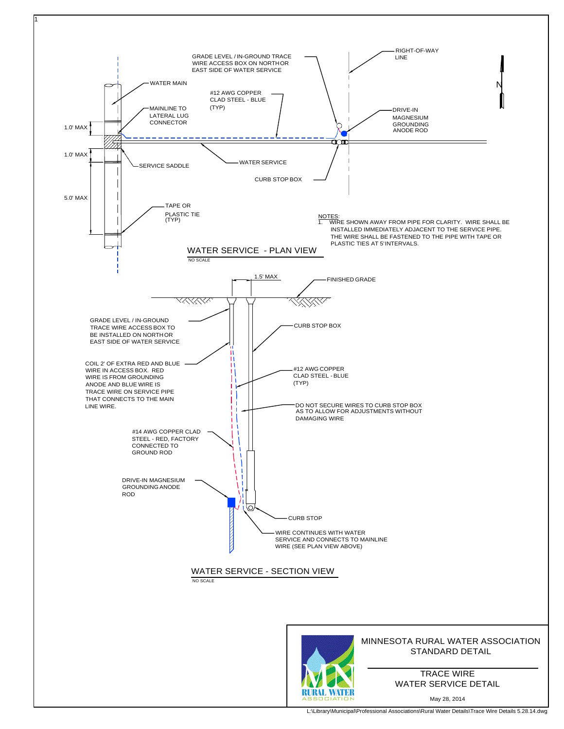

1

L:\Library\Municipal\Professional Associations\Rural Water Details\Trace Wire Details 5.28.14.dwg